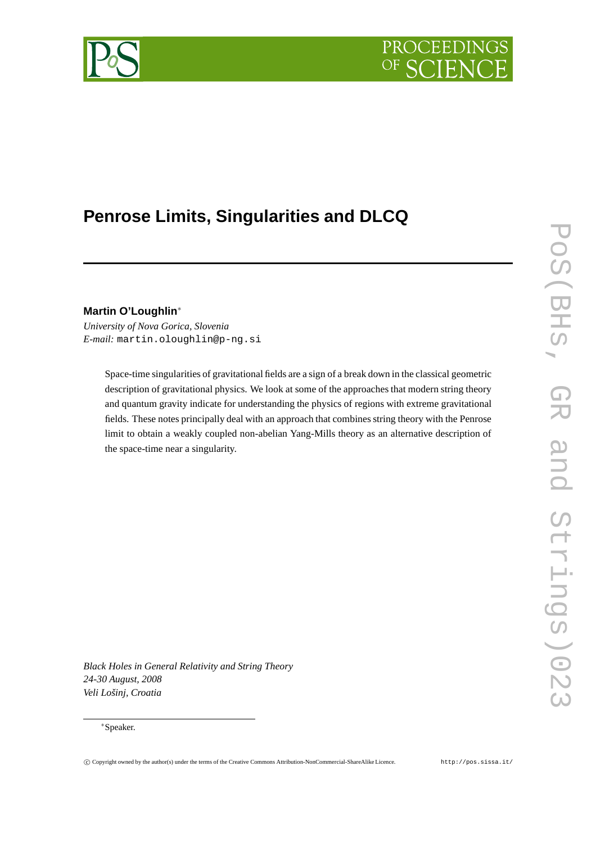# **PROCEEDING**



# **Penrose Limits, Singularities and DLCQ**

**Martin O'Loughlin**∗

*University of Nova Gorica, Slovenia E-mail:* martin.oloughlin@p-ng.si

> Space-time singularities of gravitational fields are a sign of a break down in the classical geometric description of gravitational physics. We look at some of the approaches that modern string theory and quantum gravity indicate for understanding the physics of regions with extreme gravitational fields. These notes principally deal with an approach that combines string theory with the Penrose limit to obtain a weakly coupled non-abelian Yang-Mills theory as an alternative description of the space-time near a singularity.

*Black Holes in General Relativity and String Theory 24-30 August, 2008 Veli Lošinj, Croatia*

# ∗Speaker.

POS(BHS, GR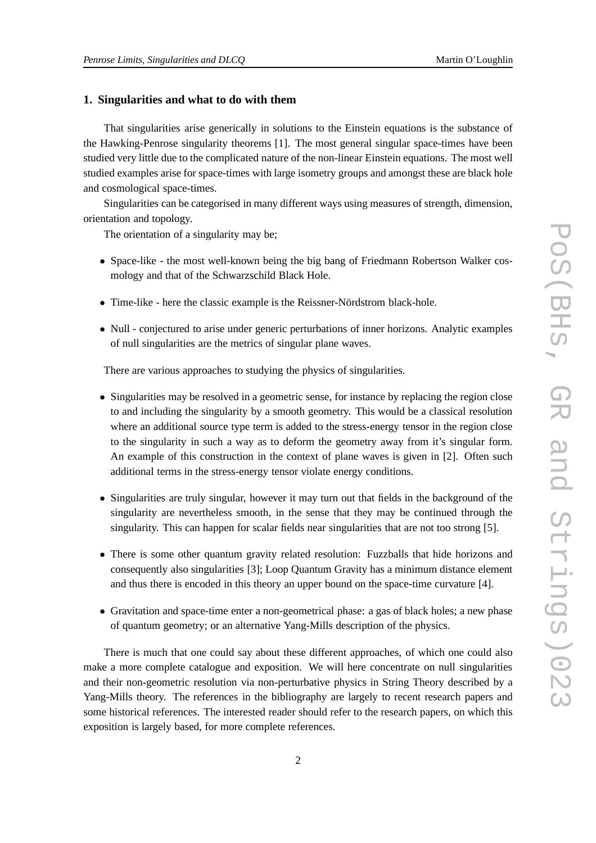# **1. Singularities and what to do with them**

That singularities arise generically in solutions to the Einstein equations is the substance of the Hawking-Penrose singularity theorems [1]. The most general singular space-times have been studied very little due to the complicated nature of the non-linear Einstein equations. The most well studied examples arise for space-times with large isometry groups and amongst these are black hole and cosmological space-times.

Singularities can be categorised in many different ways using measures of strength, dimension, orientation and topology.

The orientation of a singularity may be;

- Space-like the most well-known being the big bang of Friedmann Robertson Walker cosmology and that of the Schwarzschild Black Hole.
- Time-like here the classic example is the Reissner-Nördstrom black-hole.
- Null conjectured to arise under generic perturbations of inner horizons. Analytic examples of null singularities are the metrics of singular plane waves.

There are various approaches to studying the physics of singularities.

- Singularities may be resolved in a geometric sense, for instance by replacing the region close to and including the singularity by a smooth geometry. This would be a classical resolution where an additional source type term is added to the stress-energy tensor in the region close to the singularity in such a way as to deform the geometry away from it's singular form. An example of this construction in the context of plane waves is given in [2]. Often such additional terms in the stress-energy tensor violate energy conditions.
- Singularities are truly singular, however it may turn out that fields in the background of the singularity are nevertheless smooth, in the sense that they may be continued through the singularity. This can happen for scalar fields near singularities that are not too strong [5].
- There is some other quantum gravity related resolution: Fuzzballs that hide horizons and consequently also singularities [3]; Loop Quantum Gravity has a minimum distance element and thus there is encoded in this theory an upper bound on the space-time curvature [4].
- Gravitation and space-time enter a non-geometrical phase: a gas of black holes; a new phase of quantum geometry; or an alternative Yang-Mills description of the physics.

There is much that one could say about these different approaches, of which one could also make a more complete catalogue and exposition. We will here concentrate on null singularities and their non-geometric resolution via non-perturbative physics in String Theory described by a Yang-Mills theory. The references in the bibliography are largely to recent research papers and some historical references. The interested reader should refer to the research papers, on which this exposition is largely based, for more complete references.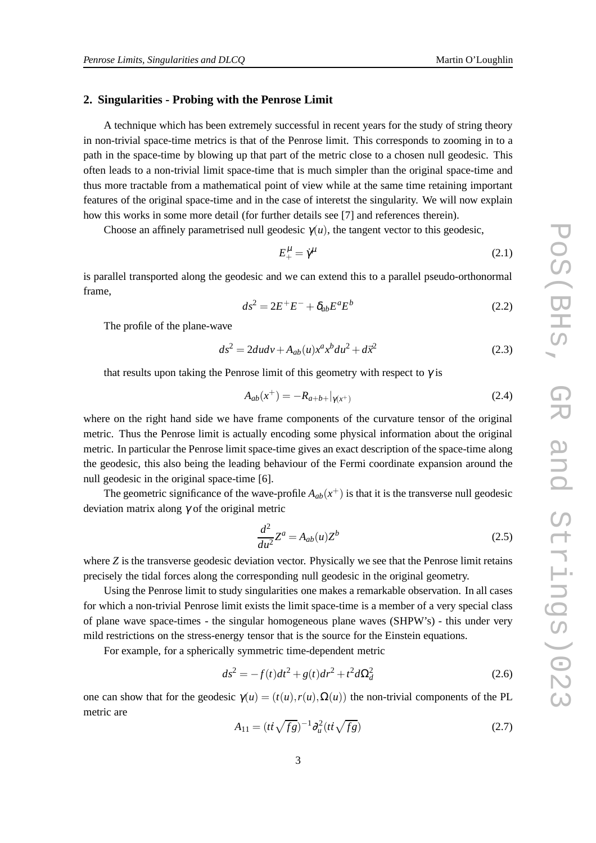# **2. Singularities - Probing with the Penrose Limit**

A technique which has been extremely successful in recent years for the study of string theory in non-trivial space-time metrics is that of the Penrose limit. This corresponds to zooming in to a path in the space-time by blowing up that part of the metric close to a chosen null geodesic. This often leads to a non-trivial limit space-time that is much simpler than the original space-time and thus more tractable from a mathematical point of view while at the same time retaining important features of the original space-time and in the case of interetst the singularity. We will now explain how this works in some more detail (for further details see [7] and references therein).

Choose an affinely parametrised null geodesic  $\gamma(u)$ , the tangent vector to this geodesic,

$$
E_{+}^{\mu} = \dot{\gamma}^{\mu} \tag{2.1}
$$

is parallel transported along the geodesic and we can extend this to a parallel pseudo-orthonormal frame,

$$
ds^2 = 2E^+E^- + \delta_{ab}E^aE^b \tag{2.2}
$$

The profile of the plane-wave

$$
ds^{2} = 2dudv + A_{ab}(u)x^{a}x^{b}du^{2} + d\vec{x}^{2}
$$
 (2.3)

that results upon taking the Penrose limit of this geometry with respect to  $\gamma$  is

$$
A_{ab}(x^+) = -R_{a+b+}|_{\gamma(x^+)}
$$
\n(2.4)

where on the right hand side we have frame components of the curvature tensor of the original metric. Thus the Penrose limit is actually encoding some physical information about the original metric. In particular the Penrose limit space-time gives an exact description of the space-time along the geodesic, this also being the leading behaviour of the Fermi coordinate expansion around the null geodesic in the original space-time [6].

The geometric significance of the wave-profile  $A_{ab}(x^+)$  is that it is the transverse null geodesic deviation matrix along  $\gamma$  of the original metric

$$
\frac{d^2}{du^2}Z^a = A_{ab}(u)Z^b\tag{2.5}
$$

where *Z* is the transverse geodesic deviation vector. Physically we see that the Penrose limit retains precisely the tidal forces along the corresponding null geodesic in the original geometry.

Using the Penrose limit to study singularities one makes a remarkable observation. In all cases for which a non-trivial Penrose limit exists the limit space-time is a member of a very special class of plane wave space-times - the singular homogeneous plane waves (SHPW's) - this under very mild restrictions on the stress-energy tensor that is the source for the Einstein equations.

For example, for a spherically symmetric time-dependent metric

$$
ds^{2} = -f(t)dt^{2} + g(t)dr^{2} + t^{2}d\Omega_{d}^{2}
$$
 (2.6)

one can show that for the geodesic  $\gamma(u) = (t(u), r(u), \Omega(u))$  the non-trivial components of the PL metric are

$$
A_{11} = (t\dot{t}\sqrt{fg})^{-1}\partial_u^2 (t\dot{t}\sqrt{fg})
$$
 (2.7)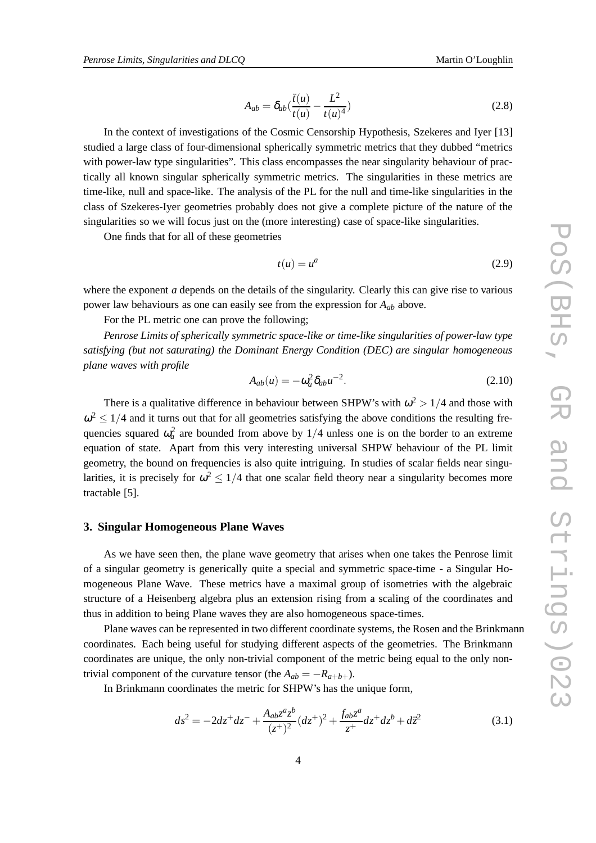$$
A_{ab} = \delta_{ab} (\frac{\ddot{t}(u)}{t(u)} - \frac{L^2}{t(u)^4})
$$
 (2.8)

In the context of investigations of the Cosmic Censorship Hypothesis, Szekeres and Iyer [13] studied a large class of four-dimensional spherically symmetric metrics that they dubbed "metrics with power-law type singularities". This class encompasses the near singularity behaviour of practically all known singular spherically symmetric metrics. The singularities in these metrics are time-like, null and space-like. The analysis of the PL for the null and time-like singularities in the class of Szekeres-Iyer geometries probably does not give a complete picture of the nature of the singularities so we will focus just on the (more interesting) case of space-like singularities.

One finds that for all of these geometries

$$
t(u) = u^a \tag{2.9}
$$

where the exponent *a* depends on the details of the singularity. Clearly this can give rise to various power law behaviours as one can easily see from the expression for *Aab* above.

For the PL metric one can prove the following;

*Penrose Limits of spherically symmetric space-like or time-like singularities of power-law type satisfying (but not saturating) the Dominant Energy Condition (DEC) are singular homogeneous plane waves with profile*

$$
A_{ab}(u) = -\omega_a^2 \delta_{ab} u^{-2}.
$$
\n(2.10)

There is a qualitative difference in behaviour between SHPW's with  $\omega^2 > 1/4$  and those with  $\omega^2 \leq 1/4$  and it turns out that for all geometries satisfying the above conditions the resulting frequencies squared  $\omega_a^2$  are bounded from above by  $1/4$  unless one is on the border to an extreme equation of state. Apart from this very interesting universal SHPW behaviour of the PL limit geometry, the bound on frequencies is also quite intriguing. In studies of scalar fields near singularities, it is precisely for  $\omega^2 \leq 1/4$  that one scalar field theory near a singularity becomes more tractable [5].

# **3. Singular Homogeneous Plane Waves**

As we have seen then, the plane wave geometry that arises when one takes the Penrose limit of a singular geometry is generically quite a special and symmetric space-time - a Singular Homogeneous Plane Wave. These metrics have a maximal group of isometries with the algebraic structure of a Heisenberg algebra plus an extension rising from a scaling of the coordinates and thus in addition to being Plane waves they are also homogeneous space-times.

Plane waves can be represented in two different coordinate systems, the Rosen and the Brinkmann coordinates. Each being useful for studying different aspects of the geometries. The Brinkmann coordinates are unique, the only non-trivial component of the metric being equal to the only nontrivial component of the curvature tensor (the  $A_{ab} = -R_{a+b+}$ ).

In Brinkmann coordinates the metric for SHPW's has the unique form,

$$
ds^{2} = -2dz^{+}dz^{-} + \frac{A_{ab}z^{a}z^{b}}{(z^{+})^{2}}(dz^{+})^{2} + \frac{f_{ab}z^{a}}{z^{+}}dz^{+}dz^{b} + d\overline{z}^{2}
$$
(3.1)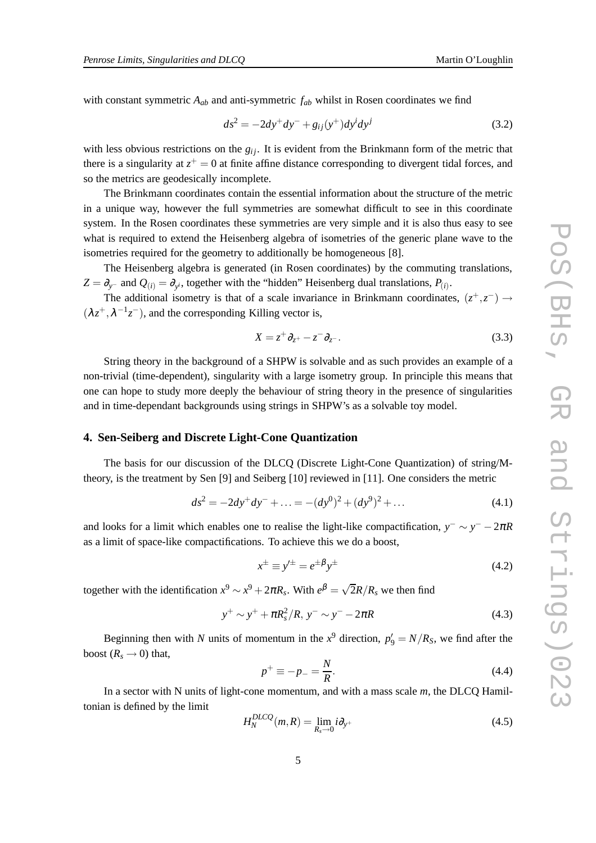with constant symmetric *Aab* and anti-symmetric *fab* whilst in Rosen coordinates we find

$$
ds^{2} = -2dy^{+}dy^{-} + g_{ij}(y^{+})dy^{i}dy^{j}
$$
 (3.2)

with less obvious restrictions on the *g<sub>ij</sub>*. It is evident from the Brinkmann form of the metric that there is a singularity at  $z^+ = 0$  at finite affine distance corresponding to divergent tidal forces, and so the metrics are geodesically incomplete.

The Brinkmann coordinates contain the essential information about the structure of the metric in a unique way, however the full symmetries are somewhat difficult to see in this coordinate system. In the Rosen coordinates these symmetries are very simple and it is also thus easy to see what is required to extend the Heisenberg algebra of isometries of the generic plane wave to the isometries required for the geometry to additionally be homogeneous [8].

The Heisenberg algebra is generated (in Rosen coordinates) by the commuting translations,  $Z = \partial_{y^-}$  and  $Q_{(i)} = \partial_{y^i}$ , together with the "hidden" Heisenberg dual translations,  $P_{(i)}$ .

The additional isometry is that of a scale invariance in Brinkmann coordinates,  $(z^+, z^-) \rightarrow$  $(\lambda z^+, \lambda^{-1} z^-)$ , and the corresponding Killing vector is,

$$
X = z^+ \partial_{z^+} - z^- \partial_{z^-}.
$$
\n
$$
(3.3)
$$

String theory in the background of a SHPW is solvable and as such provides an example of a non-trivial (time-dependent), singularity with a large isometry group. In principle this means that one can hope to study more deeply the behaviour of string theory in the presence of singularities and in time-dependant backgrounds using strings in SHPW's as a solvable toy model.

#### **4. Sen-Seiberg and Discrete Light-Cone Quantization**

The basis for our discussion of the DLCQ (Discrete Light-Cone Quantization) of string/Mtheory, is the treatment by Sen [9] and Seiberg [10] reviewed in [11]. One considers the metric

$$
ds^{2} = -2dy^{+}dy^{-} + \dots = -(dy^{0})^{2} + (dy^{9})^{2} + \dots
$$
\n(4.1)

and looks for a limit which enables one to realise the light-like compactification,  $y^{-} \sim y^{-} - 2\pi R$ as a limit of space-like compactifications. To achieve this we do a boost,

$$
x^{\pm} \equiv y'^{\pm} = e^{\pm \beta} y^{\pm} \tag{4.2}
$$

together with the identification  $x^9 \sim x^9 + 2\pi R_s$ . With  $e^{\beta} = \sqrt{2}R/R_s$  we then find

$$
y^{+} \sim y^{+} + \pi R_{s}^{2} / R, \ y^{-} \sim y^{-} - 2\pi R \tag{4.3}
$$

Beginning then with *N* units of momentum in the  $x^9$  direction,  $p'_9 = N/R_s$ , we find after the boost  $(R_s \rightarrow 0)$  that,

$$
p^{+} \equiv -p_{-} = \frac{N}{R}.\tag{4.4}
$$

In a sector with N units of light-cone momentum, and with a mass scale *m*, the DLCQ Hamiltonian is defined by the limit

$$
H_N^{DLCQ}(m, R) = \lim_{R_s \to 0} i\partial_{y^+}
$$
\n(4.5)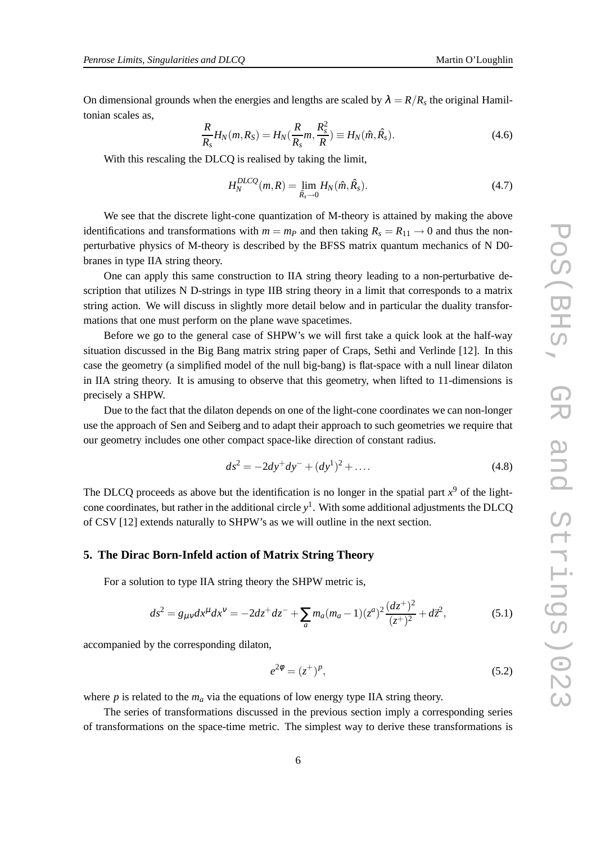On dimensional grounds when the energies and lengths are scaled by  $\lambda = R/R_s$  the original Hamiltonian scales as,

$$
\frac{R}{R_s}H_N(m,R_S) = H_N(\frac{R}{R_s}m,\frac{R_s^2}{R}) \equiv H_N(\hat{m},\hat{R}_s). \tag{4.6}
$$

With this rescaling the DLCQ is realised by taking the limit,

$$
H_N^{DLCQ}(m,R) = \lim_{\hat{R}_s \to 0} H_N(\hat{m}, \hat{R}_s). \tag{4.7}
$$

We see that the discrete light-cone quantization of M-theory is attained by making the above identifications and transformations with  $m = m_p$  and then taking  $R_s = R_{11} \rightarrow 0$  and thus the nonperturbative physics of M-theory is described by the BFSS matrix quantum mechanics of N D0 branes in type IIA string theory.

One can apply this same construction to IIA string theory leading to a non-perturbative description that utilizes N D-strings in type IIB string theory in a limit that corresponds to a matrix string action. We will discuss in slightly more detail below and in particular the duality transformations that one must perform on the plane wave spacetimes.

Before we go to the general case of SHPW's we will first take a quick look at the half-way situation discussed in the Big Bang matrix string paper of Craps, Sethi and Verlinde [12]. In this case the geometry (a simplified model of the null big-bang) is flat-space with a null linear dilaton in IIA string theory. It is amusing to observe that this geometry, when lifted to 11-dimensions is precisely a SHPW.

Due to the fact that the dilaton depends on one of the light-cone coordinates we can non-longer use the approach of Sen and Seiberg and to adapt their approach to such geometries we require that our geometry includes one other compact space-like direction of constant radius.

$$
ds^{2} = -2dy^{+}dy^{-} + (dy^{1})^{2} + \dots
$$
\n(4.8)

The DLCQ proceeds as above but the identification is no longer in the spatial part  $x<sup>9</sup>$  of the lightcone coordinates, but rather in the additional circle *y* 1 . With some additional adjustments the DLCQ of CSV [12] extends naturally to SHPW's as we will outline in the next section.

## **5. The Dirac Born-Infeld action of Matrix String Theory**

For a solution to type IIA string theory the SHPW metric is,

$$
ds^{2} = g_{\mu\nu}dx^{\mu}dx^{\nu} = -2dz^{+}dz^{-} + \sum_{a} m_{a}(m_{a}-1)(z^{a})^{2}\frac{(dz^{+})^{2}}{(z^{+})^{2}} + d\vec{z}^{2},
$$
\n(5.1)

accompanied by the corresponding dilaton,

$$
e^{2\phi} = (z^+)^p,\tag{5.2}
$$

where *p* is related to the  $m_a$  via the equations of low energy type IIA string theory.

The series of transformations discussed in the previous section imply a corresponding series of transformations on the space-time metric. The simplest way to derive these transformations is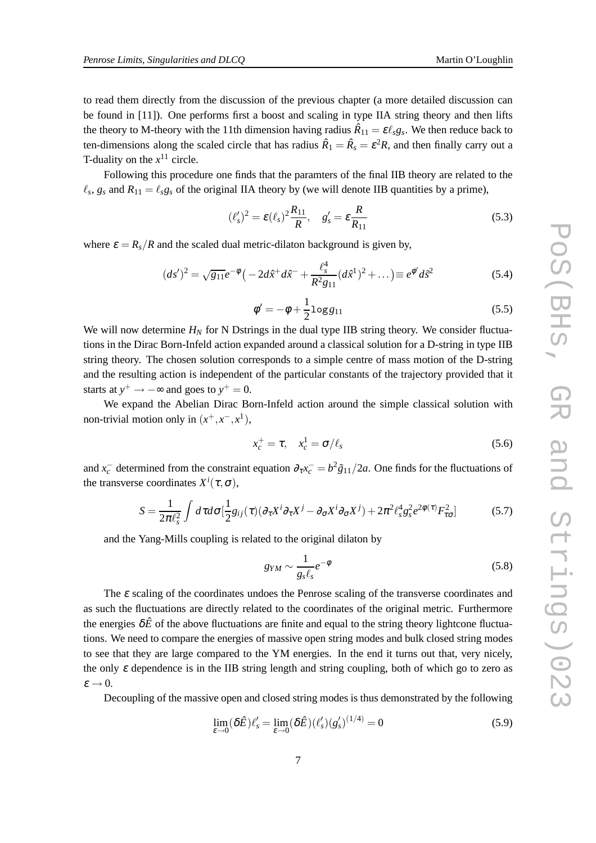to read them directly from the discussion of the previous chapter (a more detailed discussion can be found in [11]). One performs first a boost and scaling in type IIA string theory and then lifts the theory to M-theory with the 11th dimension having radius  $\hat{R}_{11} = \varepsilon \ell_s g_s$ . We then reduce back to ten-dimensions along the scaled circle that has radius  $\hat{R}_1 = \hat{R}_s = \varepsilon^2 R$ , and then finally carry out a T-duality on the  $x^{11}$  circle.

Following this procedure one finds that the paramters of the final IIB theory are related to the  $\ell_s$ ,  $g_s$  and  $R_{11} = \ell_s g_s$  of the original IIA theory by (we will denote IIB quantities by a prime),

$$
(\ell_s')^2 = \varepsilon(\ell_s)^2 \frac{R_{11}}{R}, \quad g_s' = \varepsilon \frac{R}{R_{11}}
$$
 (5.3)

where  $\varepsilon = R_s/R$  and the scaled dual metric-dilaton background is given by,

$$
(ds')^2 = \sqrt{g_{11}}e^{-\phi} \left( -2d\hat{x}^+d\hat{x}^- + \frac{\ell_s^4}{R^2 g_{11}}(d\hat{x}^1)^2 + \dots \right) \equiv e^{\phi'}d\tilde{s}^2 \tag{5.4}
$$

$$
\phi' = -\phi + \frac{1}{2}\log g_{11} \tag{5.5}
$$

We will now determine  $H_N$  for N Dstrings in the dual type IIB string theory. We consider fluctuations in the Dirac Born-Infeld action expanded around a classical solution for a D-string in type IIB string theory. The chosen solution corresponds to a simple centre of mass motion of the D-string and the resulting action is independent of the particular constants of the trajectory provided that it starts at  $y^+ \rightarrow -\infty$  and goes to  $y^+ = 0$ .

We expand the Abelian Dirac Born-Infeld action around the simple classical solution with non-trivial motion only in  $(x^+, x^-, x^1)$ ,

$$
x_c^+ = \tau, \quad x_c^1 = \sigma/\ell_s \tag{5.6}
$$

and  $x_c^-$  determined from the constraint equation  $\partial_\tau x_c^- = b^2 \tilde{g}_{11}/2a$ . One finds for the fluctuations of the transverse coordinates  $X^i(\tau, \sigma)$ ,

$$
S = \frac{1}{2\pi\ell_s^2} \int d\tau d\sigma \left[\frac{1}{2}g_{ij}(\tau)(\partial_\tau X^i \partial_\tau X^j - \partial_\sigma X^i \partial_\sigma X^j) + 2\pi^2\ell_s^4 g_s^2 e^{2\phi(\tau)} F_{\tau\sigma}^2\right]
$$
(5.7)

and the Yang-Mills coupling is related to the original dilaton by

$$
g_{YM} \sim \frac{1}{g_s \ell_s} e^{-\phi} \tag{5.8}
$$

The  $\varepsilon$  scaling of the coordinates undoes the Penrose scaling of the transverse coordinates and as such the fluctuations are directly related to the coordinates of the original metric. Furthermore the energies  $\delta \hat{E}$  of the above fluctuations are finite and equal to the string theory lightcone fluctuations. We need to compare the energies of massive open string modes and bulk closed string modes to see that they are large compared to the YM energies. In the end it turns out that, very nicely, the only  $\varepsilon$  dependence is in the IIB string length and string coupling, both of which go to zero as  $\varepsilon \rightarrow 0$ .

Decoupling of the massive open and closed string modes is thus demonstrated by the following

$$
\lim_{\varepsilon \to 0} (\delta \hat{E}) \ell_s' = \lim_{\varepsilon \to 0} (\delta \hat{E}) (\ell_s') (g_s')^{(1/4)} = 0
$$
\n(5.9)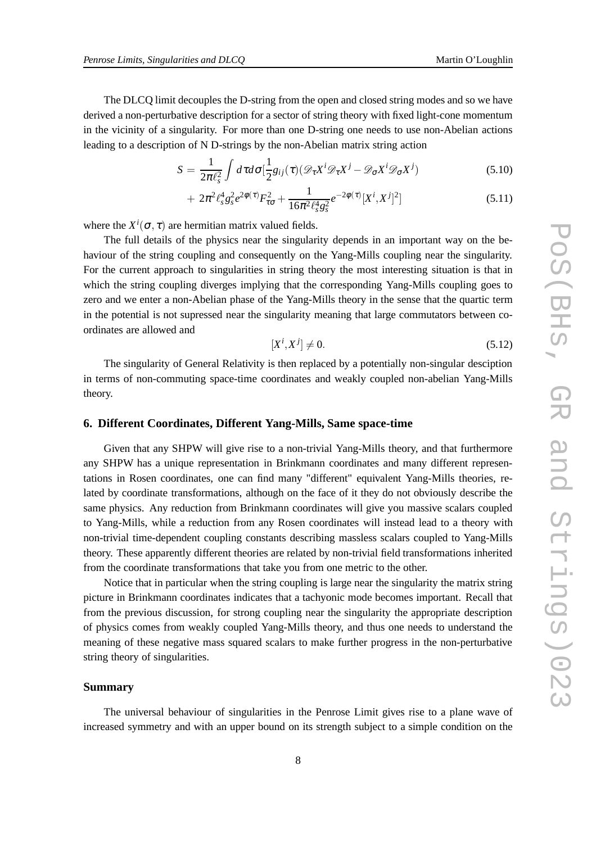The DLCQ limit decouples the D-string from the open and closed string modes and so we have derived a non-perturbative description for a sector of string theory with fixed light-cone momentum in the vicinity of a singularity. For more than one D-string one needs to use non-Abelian actions leading to a description of N D-strings by the non-Abelian matrix string action

$$
S = \frac{1}{2\pi\ell_s^2} \int d\tau d\sigma \left[\frac{1}{2}g_{ij}(\tau)(\mathcal{D}_{\tau}X^i\mathcal{D}_{\tau}X^j - \mathcal{D}_{\sigma}X^i\mathcal{D}_{\sigma}X^j)\right]
$$
(5.10)

$$
+ 2\pi^2 \ell_s^4 g_s^2 e^{2\phi(\tau)} F_{\tau\sigma}^2 + \frac{1}{16\pi^2 \ell_s^4 g_s^2} e^{-2\phi(\tau)} [X^i, X^j]^2] \tag{5.11}
$$

where the  $X^{i}(\sigma, \tau)$  are hermitian matrix valued fields.

The full details of the physics near the singularity depends in an important way on the behaviour of the string coupling and consequently on the Yang-Mills coupling near the singularity. For the current approach to singularities in string theory the most interesting situation is that in which the string coupling diverges implying that the corresponding Yang-Mills coupling goes to zero and we enter a non-Abelian phase of the Yang-Mills theory in the sense that the quartic term in the potential is not supressed near the singularity meaning that large commutators between coordinates are allowed and

$$
[X^i, X^j] \neq 0. \tag{5.12}
$$

The singularity of General Relativity is then replaced by a potentially non-singular desciption in terms of non-commuting space-time coordinates and weakly coupled non-abelian Yang-Mills theory.

## **6. Different Coordinates, Different Yang-Mills, Same space-time**

Given that any SHPW will give rise to a non-trivial Yang-Mills theory, and that furthermore any SHPW has a unique representation in Brinkmann coordinates and many different representations in Rosen coordinates, one can find many "different" equivalent Yang-Mills theories, related by coordinate transformations, although on the face of it they do not obviously describe the same physics. Any reduction from Brinkmann coordinates will give you massive scalars coupled to Yang-Mills, while a reduction from any Rosen coordinates will instead lead to a theory with non-trivial time-dependent coupling constants describing massless scalars coupled to Yang-Mills theory. These apparently different theories are related by non-trivial field transformations inherited from the coordinate transformations that take you from one metric to the other.

Notice that in particular when the string coupling is large near the singularity the matrix string picture in Brinkmann coordinates indicates that a tachyonic mode becomes important. Recall that from the previous discussion, for strong coupling near the singularity the appropriate description of physics comes from weakly coupled Yang-Mills theory, and thus one needs to understand the meaning of these negative mass squared scalars to make further progress in the non-perturbative string theory of singularities.

#### **Summary**

The universal behaviour of singularities in the Penrose Limit gives rise to a plane wave of increased symmetry and with an upper bound on its strength subject to a simple condition on the